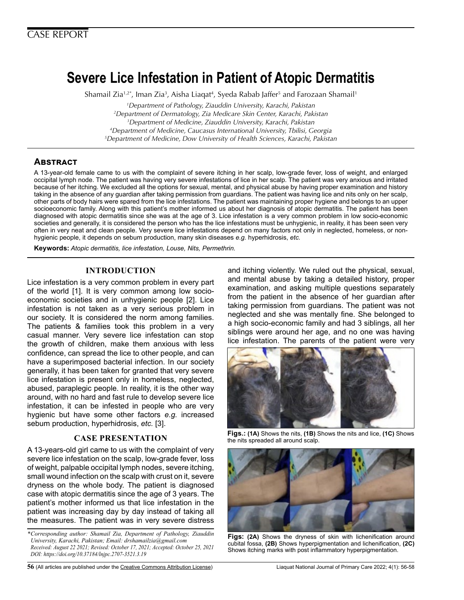# **Severe Lice Infestation in Patient of Atopic Dermatitis**

Shamail Zia<sup>1,2\*</sup>, Iman Zia<sup>3</sup>, Aisha Liaqat<sup>4</sup>, Syeda Rabab Jaffer<sup>5</sup> and Farozaan Shamail<sup>1</sup>

 *Department of Pathology, Ziauddin University, Karachi, Pakistan Department of Dermatology, Zia Medicare Skin Center, Karachi, Pakistan Department of Medicine, Ziauddin University, Karachi, Pakistan Department of Medicine, Caucasus International University, Tbilisi, Georgia Department of Medicine, Dow University of Health Sciences, Karachi, Pakistan*

## **Abstract**

A 13-year-old female came to us with the complaint of severe itching in her scalp, low-grade fever, loss of weight, and enlarged occipital lymph node. The patient was having very severe infestations of lice in her scalp. The patient was very anxious and irritated because of her itching. We excluded all the options for sexual, mental, and physical abuse by having proper examination and history taking in the absence of any guardian after taking permission from guardians. The patient was having lice and nits only on her scalp, other parts of body hairs were spared from the lice infestations. The patient was maintaining proper hygiene and belongs to an upper socioeconomic family. Along with this patient's mother informed us about her diagnosis of atopic dermatitis. The patient has been diagnosed with atopic dermatitis since she was at the age of 3. Lice infestation is a very common problem in low socio-economic societies and generally, it is considered the person who has the lice infestations must be unhygienic, in reality, it has been seen very often in very neat and clean people. Very severe lice infestations depend on many factors not only in neglected, homeless, or nonhygienic people, it depends on sebum production, many skin diseases *e.g.* hyperhidrosis, *etc.*

**Keywords:** *Atopic dermatitis, lice infestation, Louse, Nits, Permethrin.* 

#### **INTRODUCTION**

Lice infestation is a very common problem in every part of the world [1]. It is very common among low socioeconomic societies and in unhygienic people [2]. Lice infestation is not taken as a very serious problem in our society. It is considered the norm among families. The patients & families took this problem in a very casual manner. Very severe lice infestation can stop the growth of children, make them anxious with less confidence, can spread the lice to other people, and can have a superimposed bacterial infection. In our society generally, it has been taken for granted that very severe lice infestation is present only in homeless, neglected, abused, paraplegic people. In reality, it is the other way around, with no hard and fast rule to develop severe lice infestation, it can be infested in people who are very hygienic but have some other factors *e.g.* increased sebum production, hyperhidrosis, *etc.* [3].

#### **CASE PRESENTATION**

A 13-years-old girl came to us with the complaint of very severe lice infestation on the scalp, low-grade fever, loss of weight, palpable occipital lymph nodes, severe itching, small wound infection on the scalp with crust on it, severe dryness on the whole body. The patient is diagnosed case with atopic dermatitis since the age of 3 years. The patient's mother informed us that lice infestation in the patient was increasing day by day instead of taking all the measures. The patient was in very severe distress

*\*Corresponding author: Shamail Zia, Department of Pathology, Ziauddin University, Karachi, Pakistan; Email: drshamailzia@gmail.com Received: August 22 2021; Revised: October 17, 2021; Accepted: October 25, 2021 DOI: https://doi.org/10.37184/lnjpc.2707-3521.3.19*

and itching violently. We ruled out the physical, sexual, and mental abuse by taking a detailed history, proper examination, and asking multiple questions separately from the patient in the absence of her guardian after taking permission from guardians. The patient was not neglected and she was mentally fine. She belonged to a high socio-economic family and had 3 siblings, all her siblings were around her age, and no one was having lice infestation. The parents of the patient were very



**Figs.: (1A)** Shows the nits, **(1B)** Shows the nits and lice, **(1C)** Shows the nits spreaded all around scalp.



**Figs: (2A)** Shows the dryness of skin with lichenification around cubital fossa, **(2B)** Shows hyperpigmentation and lichenification, **(2C)** Shows itching marks with post inflammatory hyperpigmentation.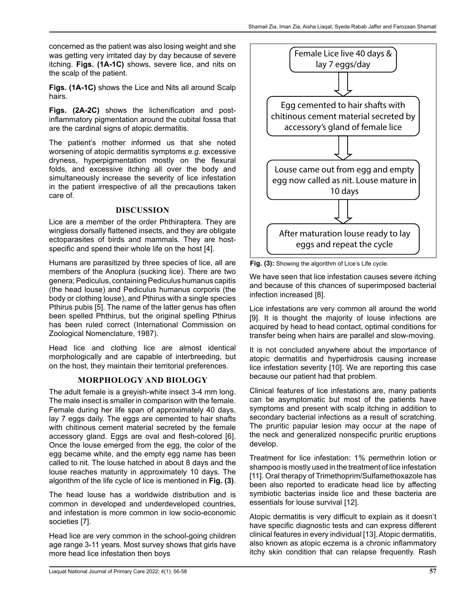concerned as the patient was also losing weight and she was getting very irritated day by day because of severe itching. **Figs. (1A-1C)** shows, severe lice, and nits on the scalp of the patient.

**Figs. (1A-1C)** shows the Lice and Nits all around Scalp hairs.

**Figs. (2A-2C)** shows the lichenification and postinflammatory pigmentation around the cubital fossa that are the cardinal signs of atopic dermatitis.

The patient's mother informed us that she noted worsening of atopic dermatitis symptoms *e.g.* excessive dryness, hyperpigmentation mostly on the flexural folds, and excessive itching all over the body and simultaneously increase the severity of lice infestation in the patient irrespective of all the precautions taken care of.

## **DISCUSSION**

Lice are a member of the order Phthiraptera. They are wingless dorsally flattened insects, and they are obligate ectoparasites of birds and mammals. They are hostspecific and spend their whole life on the host [4].

Humans are parasitized by three species of lice, all are members of the Anoplura (sucking lice). There are two genera; Pediculus, containing Pediculus humanus capitis (the head louse) and Pediculus humanus corporis (the body or clothing louse), and Pthirus with a single species Pthirus pubis [5]. The name of the latter genus has often been spelled Phthirus, but the original spelling Pthirus has been ruled correct (International Commission on Zoological Nomenclature, 1987).

Head lice and clothing lice are almost identical morphologically and are capable of interbreeding, but on the host, they maintain their territorial preferences.

## **MORPHOLOGY AND BIOLOGY**

The adult female is a greyish-white insect 3-4 mm long. The male insect is smaller in comparison with the female. Female during her life span of approximately 40 days, lay 7 eggs daily. The eggs are cemented to hair shafts with chitinous cement material secreted by the female accessory gland. Eggs are oval and flesh-colored [6]. Once the louse emerged from the egg, the color of the egg became white, and the empty egg name has been called to nit. The louse hatched in about 8 days and the louse reaches maturity in approximately 10 days. The algorithm of the life cycle of lice is mentioned in **Fig. (3)**.

The head louse has a worldwide distribution and is common in developed and underdeveloped countries, and infestation is more common in low socio-economic societies [7].

Head lice are very common in the school-going children age range 3-11 years. Most survey shows that girls have more head lice infestation then boys



**Fig. (3):** Showing the algorithm of Lice's Life cycle.

We have seen that lice infestation causes severe itching and because of this chances of superimposed bacterial infection increased [8].

Lice infestations are very common all around the world [9]. It is thought the majority of louse infections are acquired by head to head contact, optimal conditions for transfer being when hairs are parallel and slow-moving.

It is not concluded anywhere about the importance of atopic dermatitis and hyperhidrosis causing increase lice infestation severity [10]. We are reporting this case because our patient had that problem.

Clinical features of lice infestations are, many patients can be asymptomatic but most of the patients have symptoms and present with scalp itching in addition to secondary bacterial infections as a result of scratching. The pruritic papular lesion may occur at the nape of the neck and generalized nonspecific pruritic eruptions develop.

Treatment for lice infestation: 1% permethrin lotion or shampoo is mostly used in the treatment of lice infestation [11]. Oral therapy of Trimethoprim/Sulfamethoxazole has been also reported to eradicate head lice by affecting symbiotic bacterias inside lice and these bacteria are essentials for louse survival [12].

Atopic dermatitis is very difficult to explain as it doesn't have specific diagnostic tests and can express different clinical features in every individual [13]. Atopic dermatitis, also known as atopic eczema is a chronic inflammatory itchy skin condition that can relapse frequently. Rash